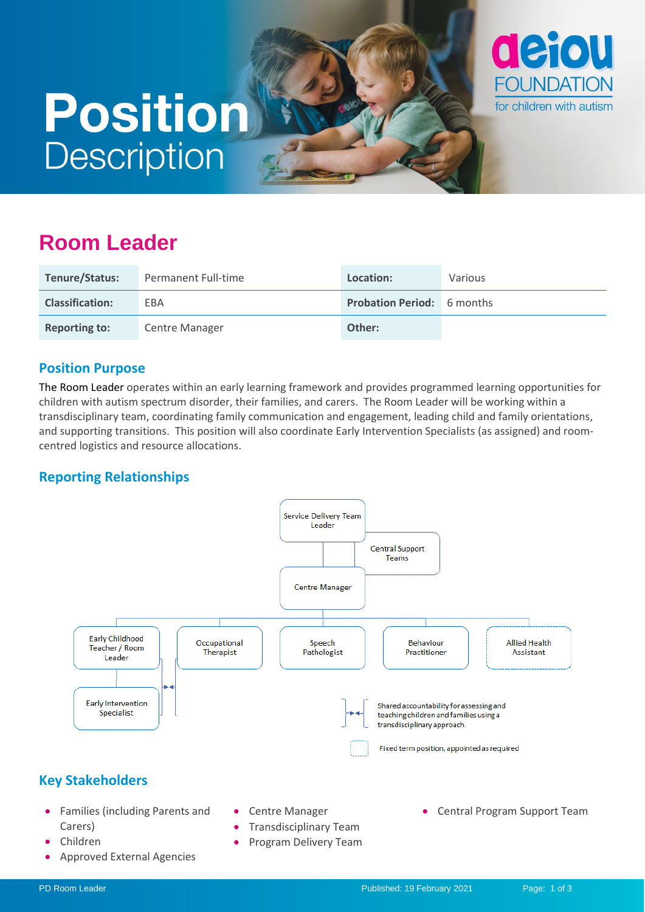# **Position Description**



## **Room Leader**

| Tenure/Status:         | Permanent Full-time   | Location:                         | <b>Various</b> |
|------------------------|-----------------------|-----------------------------------|----------------|
| <b>Classification:</b> | EBA                   | <b>Probation Period:</b> 6 months |                |
| <b>Reporting to:</b>   | <b>Centre Manager</b> | Other:                            |                |

#### **Position Purpose**

The Room Leader operates within an early learning framework and provides programmed learning opportunities for children with autism spectrum disorder, their families, and carers. The Room Leader will be working within a transdisciplinary team, coordinating family communication and engagement, leading child and family orientations, and supporting transitions. This position will also coordinate Early Intervention Specialists (as assigned) and roomcentred logistics and resource allocations.

#### **Reporting Relationships**

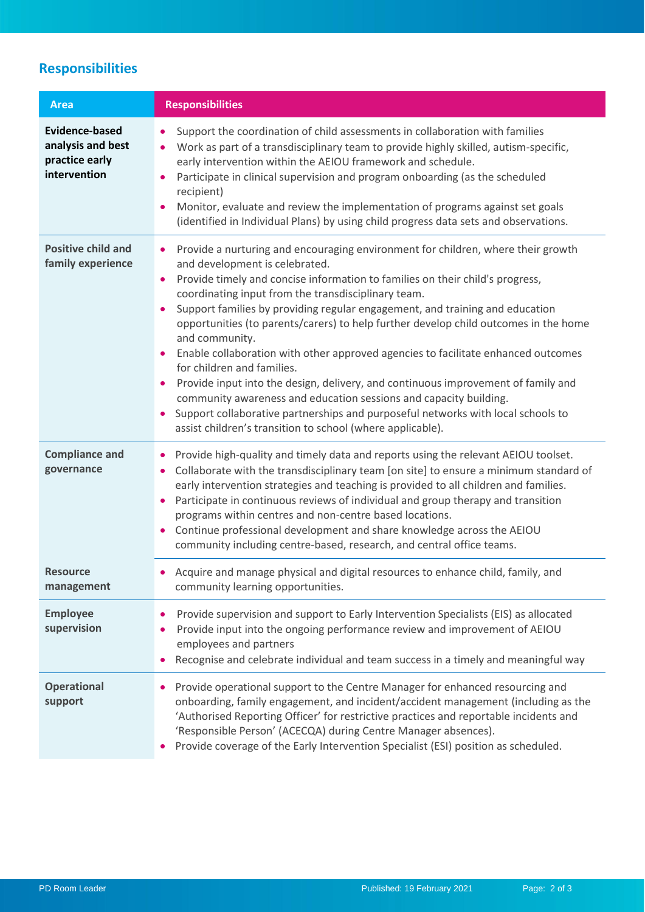## **Responsibilities**

| <b>Area</b>                                                                  | <b>Responsibilities</b>                                                                                                                                                                                                                                                                                                                                                                                                                                                                                                                                                                                                                                                                                                                                                                                                                                                                                                                 |  |
|------------------------------------------------------------------------------|-----------------------------------------------------------------------------------------------------------------------------------------------------------------------------------------------------------------------------------------------------------------------------------------------------------------------------------------------------------------------------------------------------------------------------------------------------------------------------------------------------------------------------------------------------------------------------------------------------------------------------------------------------------------------------------------------------------------------------------------------------------------------------------------------------------------------------------------------------------------------------------------------------------------------------------------|--|
| <b>Evidence-based</b><br>analysis and best<br>practice early<br>intervention | Support the coordination of child assessments in collaboration with families<br>Work as part of a transdisciplinary team to provide highly skilled, autism-specific,<br>٠<br>early intervention within the AEIOU framework and schedule.<br>Participate in clinical supervision and program onboarding (as the scheduled<br>recipient)<br>Monitor, evaluate and review the implementation of programs against set goals<br>(identified in Individual Plans) by using child progress data sets and observations.                                                                                                                                                                                                                                                                                                                                                                                                                         |  |
| <b>Positive child and</b><br>family experience                               | Provide a nurturing and encouraging environment for children, where their growth<br>$\bullet$<br>and development is celebrated.<br>Provide timely and concise information to families on their child's progress,<br>coordinating input from the transdisciplinary team.<br>Support families by providing regular engagement, and training and education<br>$\bullet$<br>opportunities (to parents/carers) to help further develop child outcomes in the home<br>and community.<br>Enable collaboration with other approved agencies to facilitate enhanced outcomes<br>$\bullet$<br>for children and families.<br>Provide input into the design, delivery, and continuous improvement of family and<br>community awareness and education sessions and capacity building.<br>Support collaborative partnerships and purposeful networks with local schools to<br>$\bullet$<br>assist children's transition to school (where applicable). |  |
| <b>Compliance and</b><br>governance                                          | Provide high-quality and timely data and reports using the relevant AEIOU toolset.<br>Collaborate with the transdisciplinary team [on site] to ensure a minimum standard of<br>$\bullet$<br>early intervention strategies and teaching is provided to all children and families.<br>Participate in continuous reviews of individual and group therapy and transition<br>programs within centres and non-centre based locations.<br>Continue professional development and share knowledge across the AEIOU<br>community including centre-based, research, and central office teams.                                                                                                                                                                                                                                                                                                                                                      |  |
| <b>Resource</b><br>management                                                | • Acquire and manage physical and digital resources to enhance child, family, and<br>community learning opportunities.                                                                                                                                                                                                                                                                                                                                                                                                                                                                                                                                                                                                                                                                                                                                                                                                                  |  |
| <b>Employee</b><br>supervision                                               | Provide supervision and support to Early Intervention Specialists (EIS) as allocated<br>Provide input into the ongoing performance review and improvement of AEIOU<br>employees and partners<br>Recognise and celebrate individual and team success in a timely and meaningful way                                                                                                                                                                                                                                                                                                                                                                                                                                                                                                                                                                                                                                                      |  |
| <b>Operational</b><br>support                                                | Provide operational support to the Centre Manager for enhanced resourcing and<br>onboarding, family engagement, and incident/accident management (including as the<br>'Authorised Reporting Officer' for restrictive practices and reportable incidents and<br>'Responsible Person' (ACECQA) during Centre Manager absences).<br>Provide coverage of the Early Intervention Specialist (ESI) position as scheduled.                                                                                                                                                                                                                                                                                                                                                                                                                                                                                                                     |  |